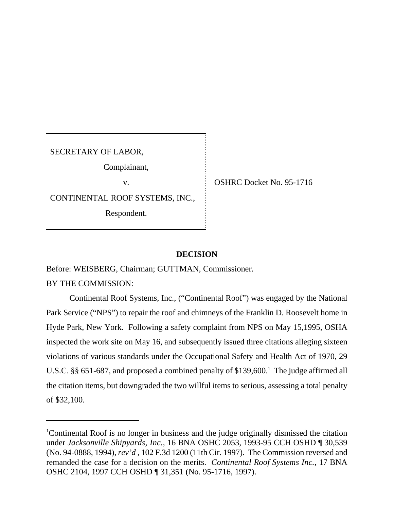SECRETARY OF LABOR,

Complainant,

CONTINENTAL ROOF SYSTEMS, INC.,

Respondent.

v. CSHRC Docket No. 95-1716

## **DECISION**

Before: WEISBERG, Chairman; GUTTMAN, Commissioner.

BY THE COMMISSION:

Continental Roof Systems, Inc., ("Continental Roof") was engaged by the National Park Service ("NPS") to repair the roof and chimneys of the Franklin D. Roosevelt home in Hyde Park, New York. Following a safety complaint from NPS on May 15,1995, OSHA inspected the work site on May 16, and subsequently issued three citations alleging sixteen violations of various standards under the Occupational Safety and Health Act of 1970, 29 U.S.C.  $\S\S 651-687$ , and proposed a combined penalty of \$139,600.<sup>1</sup> The judge affirmed all the citation items, but downgraded the two willful items to serious, assessing a total penalty of \$32,100.

<sup>1</sup>Continental Roof is no longer in business and the judge originally dismissed the citation under *Jacksonville Shipyards, Inc.,* 16 BNA OSHC 2053, 1993-95 CCH OSHD ¶ 30,539 (No. 94-0888, 1994), *rev'd* , 102 F.3d 1200 (11th Cir. 1997). The Commission reversed and remanded the case for a decision on the merits. *Continental Roof Systems Inc.,* 17 BNA OSHC 2104, 1997 CCH OSHD ¶ 31,351 (No. 95-1716, 1997).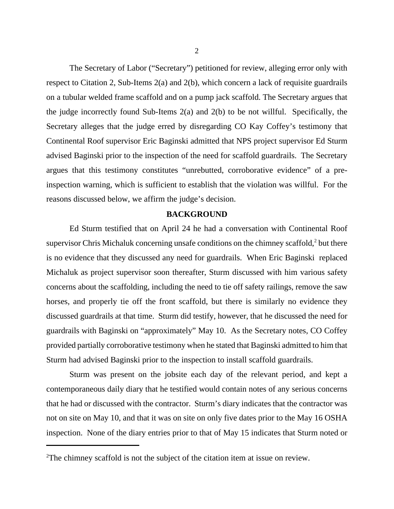The Secretary of Labor ("Secretary") petitioned for review, alleging error only with respect to Citation 2, Sub-Items 2(a) and 2(b), which concern a lack of requisite guardrails on a tubular welded frame scaffold and on a pump jack scaffold. The Secretary argues that the judge incorrectly found Sub-Items 2(a) and 2(b) to be not willful. Specifically, the Secretary alleges that the judge erred by disregarding CO Kay Coffey's testimony that Continental Roof supervisor Eric Baginski admitted that NPS project supervisor Ed Sturm advised Baginski prior to the inspection of the need for scaffold guardrails. The Secretary argues that this testimony constitutes "unrebutted, corroborative evidence" of a preinspection warning, which is sufficient to establish that the violation was willful. For the reasons discussed below, we affirm the judge's decision.

## **BACKGROUND**

Ed Sturm testified that on April 24 he had a conversation with Continental Roof supervisor Chris Michaluk concerning unsafe conditions on the chimney scaffold, $2$  but there is no evidence that they discussed any need for guardrails. When Eric Baginski replaced Michaluk as project supervisor soon thereafter, Sturm discussed with him various safety concerns about the scaffolding, including the need to tie off safety railings, remove the saw horses, and properly tie off the front scaffold, but there is similarly no evidence they discussed guardrails at that time. Sturm did testify, however, that he discussed the need for guardrails with Baginski on "approximately" May 10. As the Secretary notes, CO Coffey provided partially corroborative testimony when he stated that Baginski admitted to him that Sturm had advised Baginski prior to the inspection to install scaffold guardrails.

Sturm was present on the jobsite each day of the relevant period, and kept a contemporaneous daily diary that he testified would contain notes of any serious concerns that he had or discussed with the contractor. Sturm's diary indicates that the contractor was not on site on May 10, and that it was on site on only five dates prior to the May 16 OSHA inspection. None of the diary entries prior to that of May 15 indicates that Sturm noted or

<sup>&</sup>lt;sup>2</sup>The chimney scaffold is not the subject of the citation item at issue on review.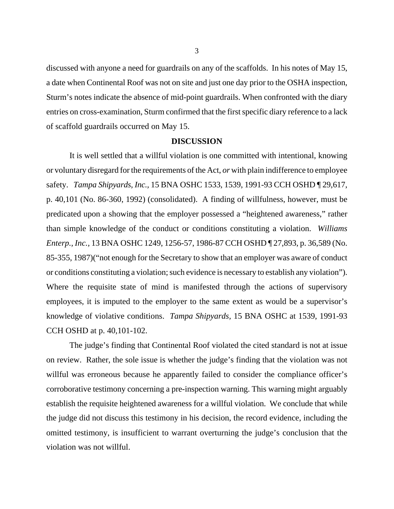discussed with anyone a need for guardrails on any of the scaffolds. In his notes of May 15, a date when Continental Roof was not on site and just one day prior to the OSHA inspection, Sturm's notes indicate the absence of mid-point guardrails. When confronted with the diary entries on cross-examination, Sturm confirmed that the first specific diary reference to a lack of scaffold guardrails occurred on May 15.

## **DISCUSSION**

It is well settled that a willful violation is one committed with intentional, knowing or voluntary disregard for the requirements of the Act, *or* with plain indifference to employee safety. *Tampa Shipyards, Inc.,* 15 BNA OSHC 1533, 1539, 1991-93 CCH OSHD ¶ 29,617, p. 40,101 (No. 86-360, 1992) (consolidated). A finding of willfulness, however, must be predicated upon a showing that the employer possessed a "heightened awareness," rather than simple knowledge of the conduct or conditions constituting a violation. *Williams Enterp., Inc.,* 13 BNA OSHC 1249, 1256-57, 1986-87 CCH OSHD ¶ 27,893, p. 36,589 (No. 85-355, 1987)("not enough for the Secretary to show that an employer was aware of conduct or conditions constituting a violation; such evidence is necessary to establish any violation"). Where the requisite state of mind is manifested through the actions of supervisory employees, it is imputed to the employer to the same extent as would be a supervisor's knowledge of violative conditions. *Tampa Shipyards,* 15 BNA OSHC at 1539, 1991-93 CCH OSHD at p. 40,101-102.

The judge's finding that Continental Roof violated the cited standard is not at issue on review. Rather, the sole issue is whether the judge's finding that the violation was not willful was erroneous because he apparently failed to consider the compliance officer's corroborative testimony concerning a pre-inspection warning. This warning might arguably establish the requisite heightened awareness for a willful violation. We conclude that while the judge did not discuss this testimony in his decision, the record evidence, including the omitted testimony, is insufficient to warrant overturning the judge's conclusion that the violation was not willful.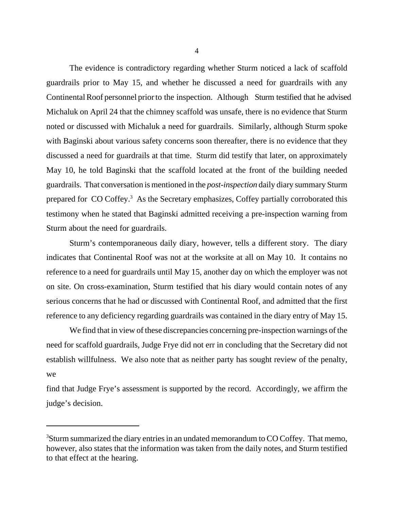The evidence is contradictory regarding whether Sturm noticed a lack of scaffold guardrails prior to May 15, and whether he discussed a need for guardrails with any Continental Roof personnel prior to the inspection. Although Sturm testified that he advised Michaluk on April 24 that the chimney scaffold was unsafe, there is no evidence that Sturm noted or discussed with Michaluk a need for guardrails. Similarly, although Sturm spoke with Baginski about various safety concerns soon thereafter, there is no evidence that they discussed a need for guardrails at that time. Sturm did testify that later, on approximately May 10, he told Baginski that the scaffold located at the front of the building needed guardrails. That conversation is mentioned in the *post-inspection* daily diary summary Sturm prepared for CO Coffey.<sup>3</sup> As the Secretary emphasizes, Coffey partially corroborated this testimony when he stated that Baginski admitted receiving a pre-inspection warning from Sturm about the need for guardrails.

Sturm's contemporaneous daily diary, however, tells a different story. The diary indicates that Continental Roof was not at the worksite at all on May 10. It contains no reference to a need for guardrails until May 15, another day on which the employer was not on site. On cross-examination, Sturm testified that his diary would contain notes of any serious concerns that he had or discussed with Continental Roof, and admitted that the first reference to any deficiency regarding guardrails was contained in the diary entry of May 15.

We find that in view of these discrepancies concerning pre-inspection warnings of the need for scaffold guardrails, Judge Frye did not err in concluding that the Secretary did not establish willfulness. We also note that as neither party has sought review of the penalty, we

find that Judge Frye's assessment is supported by the record. Accordingly, we affirm the judge's decision.

<sup>&</sup>lt;sup>3</sup>Sturm summarized the diary entries in an undated memorandum to CO Coffey. That memo, however, also states that the information was taken from the daily notes, and Sturm testified to that effect at the hearing.